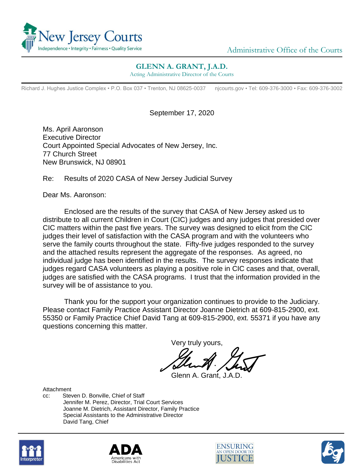

## **GLENN A. GRANT, J.A.D.**

Acting Administrative Director of the Courts

Richard J. Hughes Justice Complex • P.O. Box 037 • Trenton, NJ 08625-0037 njcourts.gov • Tel: 609-376-3000 • Fax: 609-376-3002

September 17, 2020

Ms. April Aaronson Executive Director Court Appointed Special Advocates of New Jersey, Inc. 77 Church Street New Brunswick, NJ 08901

Re: Results of 2020 CASA of New Jersey Judicial Survey

Dear Ms. Aaronson:

Enclosed are the results of the survey that CASA of New Jersey asked us to distribute to all current Children in Court (CIC) judges and any judges that presided over CIC matters within the past five years. The survey was designed to elicit from the CIC judges their level of satisfaction with the CASA program and with the volunteers who serve the family courts throughout the state. Fifty-five judges responded to the survey and the attached results represent the aggregate of the responses. As agreed, no individual judge has been identified in the results. The survey responses indicate that judges regard CASA volunteers as playing a positive role in CIC cases and that, overall, judges are satisfied with the CASA programs. I trust that the information provided in the survey will be of assistance to you.

Thank you for the support your organization continues to provide to the Judiciary. Please contact Family Practice Assistant Director Joanne Dietrich at 609-815-2900, ext. 55350 or Family Practice Chief David Tang at 609-815-2900, ext. 55371 if you have any questions concerning this matter.

Very truly yours,

Glenn A. Grant, J.A.D.

Attachment

cc: Steven D. Bonville, Chief of Staff Jennifer M. Perez, Director, Trial Court Services Joanne M. Dietrich, Assistant Director, Family Practice Special Assistants to the Administrative Director David Tang, Chief







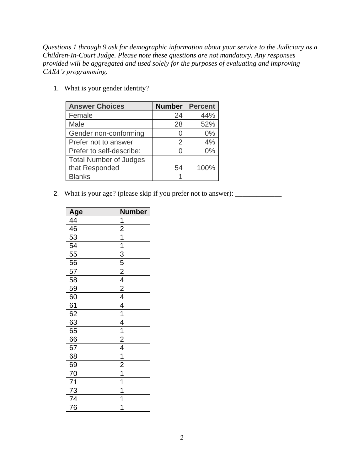*Questions 1 through 9 ask for demographic information about your service to the Judiciary as a Children-In-Court Judge. Please note these questions are not mandatory. Any responses provided will be aggregated and used solely for the purposes of evaluating and improving CASA's programming.*

| <b>Answer Choices</b>         | <b>Number</b> | <b>Percent</b> |
|-------------------------------|---------------|----------------|
| Female                        | 24            | 44%            |
| Male                          | 28            | 52%            |
| Gender non-conforming         |               | 0%             |
| Prefer not to answer          | 2             | 4%             |
| Prefer to self-describe:      |               | 0%             |
| <b>Total Number of Judges</b> |               |                |
| that Responded                | 54            | 100%           |
| <b>Blanks</b>                 |               |                |

1. What is your gender identity?

2. What is your age? (please skip if you prefer not to answer): \_\_\_\_\_\_\_\_\_\_\_\_\_\_\_\_

| Age<br>$\frac{44}{46}$<br>$\frac{53}{54}$<br>$\frac{54}{11}$ | <b>Number</b>                                                                                                                                                                                                     |
|--------------------------------------------------------------|-------------------------------------------------------------------------------------------------------------------------------------------------------------------------------------------------------------------|
|                                                              |                                                                                                                                                                                                                   |
|                                                              | $\frac{1}{2}$ $\frac{1}{1}$ $\frac{1}{3}$ $\frac{5}{5}$ $\frac{2}{4}$ $\frac{4}{2}$ $\frac{4}{4}$ $\frac{1}{1}$ $\frac{4}{4}$ $\frac{1}{1}$ $\frac{2}{4}$ $\frac{4}{1}$ $\frac{1}{2}$ $\frac{1}{1}$ $\frac{1}{1}$ |
|                                                              |                                                                                                                                                                                                                   |
|                                                              |                                                                                                                                                                                                                   |
|                                                              |                                                                                                                                                                                                                   |
|                                                              |                                                                                                                                                                                                                   |
|                                                              |                                                                                                                                                                                                                   |
|                                                              |                                                                                                                                                                                                                   |
|                                                              |                                                                                                                                                                                                                   |
|                                                              |                                                                                                                                                                                                                   |
|                                                              |                                                                                                                                                                                                                   |
|                                                              |                                                                                                                                                                                                                   |
|                                                              |                                                                                                                                                                                                                   |
|                                                              |                                                                                                                                                                                                                   |
|                                                              |                                                                                                                                                                                                                   |
|                                                              |                                                                                                                                                                                                                   |
| $\frac{67}{68}$                                              |                                                                                                                                                                                                                   |
| $\frac{69}{70}$<br>$\frac{70}{71}$                           |                                                                                                                                                                                                                   |
|                                                              |                                                                                                                                                                                                                   |
|                                                              |                                                                                                                                                                                                                   |
| $\frac{73}{74}$                                              |                                                                                                                                                                                                                   |
|                                                              | $\overline{1}$                                                                                                                                                                                                    |
| $\overline{76}$                                              | 1                                                                                                                                                                                                                 |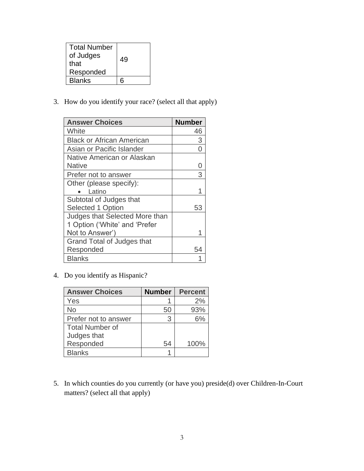| <b>Total Number</b><br>of Judges<br>that<br>Responded | 49 |
|-------------------------------------------------------|----|
| <b>Blanks</b>                                         |    |

3. How do you identify your race? (select all that apply)

| <b>Answer Choices</b>            | <b>Number</b> |
|----------------------------------|---------------|
| White                            | 46            |
| <b>Black or African American</b> | 3             |
| Asian or Pacific Islander        |               |
| Native American or Alaskan       |               |
| <b>Native</b>                    |               |
| Prefer not to answer             | 3             |
| Other (please specify):          |               |
| Latino                           |               |
| Subtotal of Judges that          |               |
| Selected 1 Option                | 53            |
| Judges that Selected More than   |               |
| 1 Option ('White' and 'Prefer    |               |
| Not to Answer')                  |               |
| Grand Total of Judges that       |               |
| Responded                        | 54            |
| <b>Blanks</b>                    |               |

4. Do you identify as Hispanic?

| <b>Answer Choices</b>  | <b>Number</b> | <b>Percent</b> |
|------------------------|---------------|----------------|
| Yes                    |               | 2%             |
| <b>No</b>              | 50            | 93%            |
| Prefer not to answer   | 3             | 6%             |
| <b>Total Number of</b> |               |                |
| Judges that            |               |                |
| Responded              | 54            | 100%           |
| <b>Blanks</b>          |               |                |

5. In which counties do you currently (or have you) preside(d) over Children-In-Court matters? (select all that apply)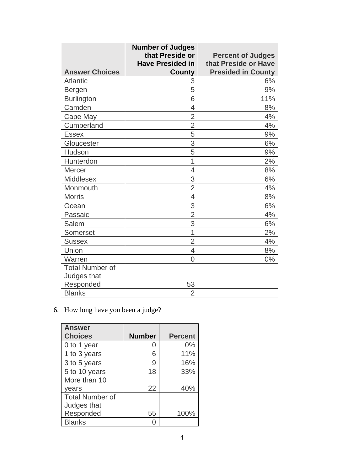|                        | <b>Number of Judges</b><br>that Preside or | <b>Percent of Judges</b>                          |
|------------------------|--------------------------------------------|---------------------------------------------------|
| <b>Answer Choices</b>  | <b>Have Presided in</b><br><b>County</b>   | that Preside or Have<br><b>Presided in County</b> |
| <b>Atlantic</b>        | 3                                          | 6%                                                |
| Bergen                 | 5                                          | 9%                                                |
| <b>Burlington</b>      | 6                                          | 11%                                               |
| Camden                 | $\overline{4}$                             | 8%                                                |
| Cape May               | $\overline{2}$                             | 4%                                                |
| Cumberland             | $\overline{2}$                             | 4%                                                |
| <b>Essex</b>           | 5                                          | 9%                                                |
| Gloucester             | 3                                          | 6%                                                |
| Hudson                 | 5                                          | 9%                                                |
| Hunterdon              | 1                                          | 2%                                                |
| <b>Mercer</b>          | $\overline{4}$                             | 8%                                                |
| <b>Middlesex</b>       | 3                                          | 6%                                                |
| Monmouth               | $\overline{2}$                             | 4%                                                |
| <b>Morris</b>          | $\overline{4}$                             | 8%                                                |
| Ocean                  | 3                                          | 6%                                                |
| Passaic                | $\overline{2}$                             | 4%                                                |
| Salem                  | 3                                          | 6%                                                |
| <b>Somerset</b>        | 1                                          | 2%                                                |
| <b>Sussex</b>          | $\overline{2}$                             | 4%                                                |
| Union                  | 4                                          | 8%                                                |
| Warren                 | $\overline{0}$                             | 0%                                                |
| <b>Total Number of</b> |                                            |                                                   |
| Judges that            |                                            |                                                   |
| Responded              | 53                                         |                                                   |
| <b>Blanks</b>          | $\overline{2}$                             |                                                   |

6. How long have you been a judge?

| <b>Answer</b>          |               |                |
|------------------------|---------------|----------------|
| <b>Choices</b>         | <b>Number</b> | <b>Percent</b> |
| 0 to 1 year            |               | 0%             |
| 1 to 3 years           | 6             | 11%            |
| 3 to 5 years           | 9             | 16%            |
| 5 to 10 years          | 18            | 33%            |
| More than 10           |               |                |
| years                  | 22            | 40%            |
| <b>Total Number of</b> |               |                |
| Judges that            |               |                |
| Responded              | 55            | 100%           |
| <b>Blanks</b>          |               |                |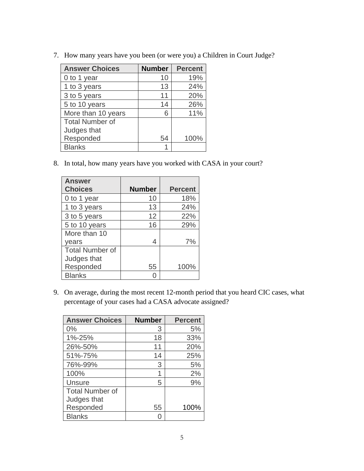| <b>Answer Choices</b>  | <b>Number</b> | <b>Percent</b> |
|------------------------|---------------|----------------|
| 0 to 1 year            | 10            | 19%            |
| 1 to 3 years           | 13            | 24%            |
| 3 to 5 years           | 11            | 20%            |
| 5 to 10 years          | 14            | 26%            |
| More than 10 years     | 6             | 11%            |
| <b>Total Number of</b> |               |                |
| Judges that            |               |                |
| Responded              | 54            | 100%           |
| <b>Blanks</b>          |               |                |

7. How many years have you been (or were you) a Children in Court Judge?

8. In total, how many years have you worked with CASA in your court?

| <b>Answer</b>          |               |                |
|------------------------|---------------|----------------|
| <b>Choices</b>         | <b>Number</b> | <b>Percent</b> |
| 0 to 1 year            | 10            | 18%            |
| 1 to 3 years           | 13            | 24%            |
| 3 to 5 years           | 12            | 22%            |
| 5 to 10 years          | 16            | 29%            |
| More than 10           |               |                |
| years                  | 4             | 7%             |
| <b>Total Number of</b> |               |                |
| Judges that            |               |                |
| Responded              | 55            | 100%           |
| <b>Blanks</b>          |               |                |

9. On average, during the most recent 12-month period that you heard CIC cases, what percentage of your cases had a CASA advocate assigned?

| <b>Answer Choices</b>  | <b>Number</b> | <b>Percent</b> |
|------------------------|---------------|----------------|
| 0%                     | 3             | 5%             |
| 1%-25%                 | 18            | 33%            |
| 26%-50%                | 11            | 20%            |
| 51%-75%                | 14            | 25%            |
| 76%-99%                | 3             | 5%             |
| 100%                   | 1             | 2%             |
| <b>Unsure</b>          | 5             | 9%             |
| <b>Total Number of</b> |               |                |
| Judges that            |               |                |
| Responded              | 55            | 100%           |
| <b>Blanks</b>          |               |                |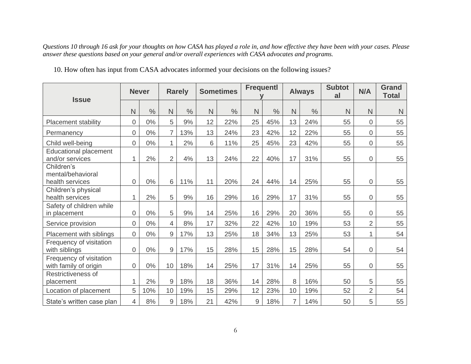*Questions 10 through 16 ask for your thoughts on how CASA has played a role in, and how effective they have been with your cases. Please answer these questions based on your general and/or overall experiences with CASA advocates and programs.*

| 10. How often has input from CASA advocates informed your decisions on the following issues? |  |  |
|----------------------------------------------------------------------------------------------|--|--|
|----------------------------------------------------------------------------------------------|--|--|

| <b>Issue</b>                                       |                | <b>Never</b>  |                | <b>Rarely</b> |    | <b>Sometimes</b> | <b>Frequentl</b> |               |    | <b>Always</b> | <b>Subtot</b><br>al | N/A                 | <b>Grand</b><br><b>Total</b> |
|----------------------------------------------------|----------------|---------------|----------------|---------------|----|------------------|------------------|---------------|----|---------------|---------------------|---------------------|------------------------------|
|                                                    | N              | $\frac{0}{0}$ | N              | $\frac{0}{0}$ | N  | $\frac{0}{0}$    | $\mathsf{N}$     | $\frac{0}{0}$ | N  | $\frac{0}{0}$ | N                   | N                   | N                            |
| <b>Placement stability</b>                         | $\overline{0}$ | $0\%$         | 5              | 9%            | 12 | 22%              | 25               | 45%           | 13 | 24%           | 55                  | $\overline{0}$      | 55                           |
| Permanency                                         | $\overline{0}$ | $0\%$         | $\overline{7}$ | 13%           | 13 | 24%              | 23               | 42%           | 12 | 22%           | 55                  | $\mathbf 0$         | 55                           |
| Child well-being                                   | 0              | $0\%$         | $\mathbf{1}$   | 2%            | 6  | 11%              | 25               | 45%           | 23 | 42%           | 55                  | $\mathbf 0$         | 55                           |
| <b>Educational placement</b><br>and/or services    | 1              | 2%            | $\overline{2}$ | 4%            | 13 | 24%              | 22               | 40%           | 17 | 31%           | 55                  | $\overline{0}$      | 55                           |
| Children's<br>mental/behavioral<br>health services | 0              | 0%            | 6              | 11%           | 11 | 20%              | 24               | 44%           | 14 | 25%           | 55                  | $\overline{0}$      | 55                           |
| Children's physical<br>health services             | 1              | 2%            | 5              | 9%            | 16 | 29%              | 16               | 29%           | 17 | 31%           | 55                  | $\mathbf 0$         | 55                           |
| Safety of children while<br>in placement           | $\mathsf 0$    | $0\%$         | 5              | 9%            | 14 | 25%              | 16               | 29%           | 20 | 36%           | 55                  | $\mathsf{O}\xspace$ | 55                           |
| Service provision                                  | $\overline{0}$ | $0\%$         | $\overline{4}$ | 8%            | 17 | 32%              | 22               | 42%           | 10 | 19%           | 53                  | $\overline{2}$      | 55                           |
| Placement with siblings                            | $\overline{0}$ | 0%            | $\overline{9}$ | 17%           | 13 | 25%              | 18               | 34%           | 13 | 25%           | 53                  | 1                   | 54                           |
| Frequency of visitation<br>with siblings           | $\overline{0}$ | $0\%$         | 9              | 17%           | 15 | 28%              | 15               | 28%           | 15 | 28%           | 54                  | $\overline{0}$      | 54                           |
| Frequency of visitation<br>with family of origin   | $\overline{0}$ | 0%            | 10             | 18%           | 14 | 25%              | 17               | 31%           | 14 | 25%           | 55                  | $\mathbf 0$         | 55                           |
| Restrictiveness of<br>placement                    | 1              | 2%            | $\overline{9}$ | 18%           | 18 | 36%              | 14               | 28%           | 8  | 16%           | 50                  | 5                   | 55                           |
| Location of placement                              | 5              | 10%           | 10             | 19%           | 15 | 29%              | 12               | 23%           | 10 | 19%           | 52                  | $\overline{2}$      | 54                           |
| State's written case plan                          | 4              | 8%            | 9              | 18%           | 21 | 42%              | 9                | 18%           | 7  | 14%           | 50                  | 5                   | 55                           |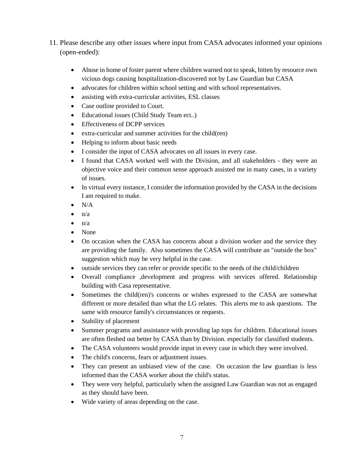- 11. Please describe any other issues where input from CASA advocates informed your opinions (open-ended):
	- Abuse in home of foster parent where children warned not to speak, bitten by resource own vicious dogs causing hospitalization-discovered not by Law Guardian but CASA
	- advocates for children within school setting and with school representatives.
	- assisting with extra-curricular activities, ESL classes
	- Case outline provided to Court.
	- Educational issues (Child Study Team ect..)
	- Effectiveness of DCPP services
	- extra-curricular and summer activities for the child(ren)
	- Helping to inform about basic needs
	- I consider the input of CASA advocates on all issues in every case.
	- I found that CASA worked well with the Division, and all stakeholders they were an objective voice and their common sense approach assisted me in many cases, in a variety of issues.
	- In virtual every instance, I consider the information provided by the CASA in the decisions I am required to make.
	- $\bullet$  N/A
	- $n/a$
	- $n/a$
	- None
	- On occasion when the CASA has concerns about a division worker and the service they are providing the family. Also sometimes the CASA will contribute an "outside the box" suggestion which may be very helpful in the case.
	- outside services they can refer or provide specific to the needs of the child/children
	- Overall compliance ,development and progress with services offered. Relationship building with Casa representative.
	- Sometimes the child(ren)'s concerns or wishes expressed to the CASA are somewhat different or more detailed than what the LG relates. This alerts me to ask questions. The same with resource family's circumstances or requests.
	- Stability of placement
	- Summer programs and assistance with providing lap tops for children. Educational issues are often fleshed out better by CASA than by Division. especially for classified students.
	- The CASA volunteers would provide input in every case in which they were involved.
	- The child's concerns, fears or adjustment issues.
	- They can present an unbiased view of the case. On occasion the law guardian is less informed than the CASA worker about the child's status.
	- They were very helpful, particularly when the assigned Law Guardian was not as engaged as they should have been.
	- Wide variety of areas depending on the case.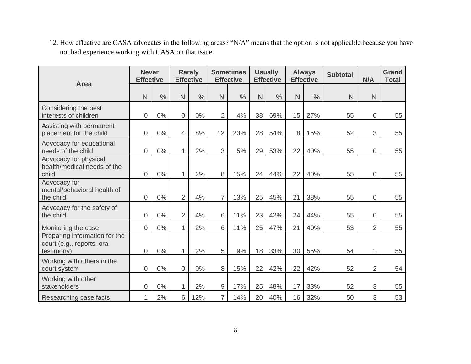12. How effective are CASA advocates in the following areas? "N/A" means that the option is not applicable because you have not had experience working with CASA on that issue.

|                                                                           | <b>Never</b><br><b>Effective</b> |               |                | <b>Rarely</b><br><b>Effective</b> |                | <b>Sometimes</b><br><b>Effective</b> |    | <b>Usually</b><br><b>Effective</b> |    | <b>Always</b><br><b>Effective</b> | <b>Subtotal</b> | N/A            | <b>Grand</b><br><b>Total</b> |
|---------------------------------------------------------------------------|----------------------------------|---------------|----------------|-----------------------------------|----------------|--------------------------------------|----|------------------------------------|----|-----------------------------------|-----------------|----------------|------------------------------|
| <b>Area</b>                                                               | N                                | $\frac{0}{0}$ | N              | $\frac{0}{0}$                     | N              | $\frac{0}{0}$                        | N  | $\frac{0}{0}$                      | N  | $\frac{0}{0}$                     | N               | N              |                              |
| Considering the best<br>interests of children                             | 0                                | 0%            | 0              | 0%                                | $\overline{2}$ | 4%                                   | 38 | 69%                                | 15 | 27%                               | 55              | $\overline{0}$ | 55                           |
| Assisting with permanent<br>placement for the child                       | 0                                | 0%            | $\overline{4}$ | 8%                                | 12             | 23%                                  | 28 | 54%                                | 8  | 15%                               | 52              | 3              | 55                           |
| Advocacy for educational<br>needs of the child                            | 0                                | 0%            | 1              | 2%                                | 3              | 5%                                   | 29 | 53%                                | 22 | 40%                               | 55              | 0              | 55                           |
| Advocacy for physical<br>health/medical needs of the<br>child             | 0                                | $0\%$         | 1              | 2%                                | 8              | 15%                                  | 24 | 44%                                | 22 | 40%                               | 55              | $\overline{0}$ | 55                           |
| Advocacy for<br>mental/behavioral health of<br>the child                  | 0                                | $0\%$         | $\overline{2}$ | 4%                                | $\overline{7}$ | 13%                                  | 25 | 45%                                | 21 | 38%                               | 55              | $\overline{0}$ | 55                           |
| Advocacy for the safety of<br>the child                                   | 0                                | 0%            | $\overline{2}$ | 4%                                | 6              | 11%                                  | 23 | 42%                                | 24 | 44%                               | 55              | $\mathbf 0$    | 55                           |
| Monitoring the case                                                       | 0                                | 0%            | 1              | 2%                                | 6              | 11%                                  | 25 | 47%                                | 21 | 40%                               | 53              | $\overline{2}$ | 55                           |
| Preparing information for the<br>court (e.g., reports, oral<br>testimony) | $\overline{0}$                   | 0%            | 1              | 2%                                | 5              | 9%                                   | 18 | 33%                                | 30 | 55%                               | 54              | 1              | 55                           |
| Working with others in the<br>court system                                | 0                                | 0%            | 0              | 0%                                | 8              | 15%                                  | 22 | 42%                                | 22 | 42%                               | 52              | $\overline{2}$ | 54                           |
| Working with other<br>stakeholders                                        | 0                                | $0\%$         | 1              | 2%                                | 9              | 17%                                  | 25 | 48%                                | 17 | 33%                               | 52              | 3              | 55                           |
| Researching case facts                                                    |                                  | 2%            | 6              | 12%                               | $\overline{7}$ | 14%                                  | 20 | 40%                                | 16 | 32%                               | 50              | 3              | 53                           |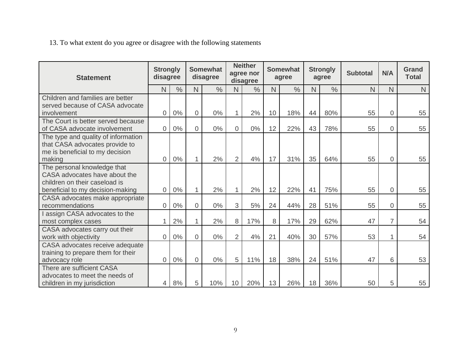13. To what extent do you agree or disagree with the following statements

| <b>Statement</b>                                                                                                   | <b>Strongly</b><br>disagree |               | <b>Somewhat</b><br>disagree |               | <b>Neither</b><br>agree nor<br>disagree |               | <b>Somewhat</b><br>agree |               | <b>Strongly</b><br>agree |               | <b>Subtotal</b> | N/A            | <b>Grand</b><br><b>Total</b> |
|--------------------------------------------------------------------------------------------------------------------|-----------------------------|---------------|-----------------------------|---------------|-----------------------------------------|---------------|--------------------------|---------------|--------------------------|---------------|-----------------|----------------|------------------------------|
|                                                                                                                    | N                           | $\frac{0}{0}$ | N.                          | $\frac{0}{0}$ | N                                       | $\frac{0}{0}$ | N                        | $\frac{0}{0}$ | N                        | $\frac{0}{0}$ | N               | N              | N                            |
| Children and families are better<br>served because of CASA advocate<br>involvement                                 | 0                           | 0%            | $\overline{0}$              | $0\%$         |                                         | 2%            | 10                       | 18%           | 44                       | 80%           | 55              | 0              | 55                           |
| The Court is better served because<br>of CASA advocate involvement                                                 | $\overline{0}$              | $0\%$         | $\overline{0}$              | $0\%$         | $\overline{0}$                          | 0%            | 12                       | 22%           | 43                       | 78%           | 55              | 0              | 55                           |
| The type and quality of information<br>that CASA advocates provide to<br>me is beneficial to my decision<br>making | $\overline{0}$              | 0%            | $\mathbf{1}$                | 2%            | 2                                       | 4%            | 17                       | 31%           | 35                       | 64%           | 55              | $\Omega$       | 55                           |
| The personal knowledge that<br>CASA advocates have about the<br>children on their caseload is                      |                             | 0%            |                             | 2%            | 1                                       | 2%            | 12                       | 22%           | 41                       |               | 55              | $\overline{0}$ |                              |
| beneficial to my decision-making<br>CASA advocates make appropriate<br>recommendations                             | 0<br>$\overline{0}$         | $0\%$         | 1<br>$\overline{0}$         | $0\%$         | 3                                       | 5%            | 24                       | 44%           | 28                       | 75%<br>51%    | 55              | 0              | 55<br>55                     |
| I assign CASA advocates to the<br>most complex cases                                                               | $\mathbf{1}$                | 2%            | $\mathbf{1}$                | 2%            | 8                                       | 17%           | 8                        | 17%           | 29                       | 62%           | 47              | $\overline{7}$ | 54                           |
| CASA advocates carry out their<br>work with objectivity                                                            | $\overline{0}$              | 0%            | $\overline{0}$              | $0\%$         | 2                                       | 4%            | 21                       | 40%           | 30                       | 57%           | 53              | 1              | 54                           |
| CASA advocates receive adequate<br>training to prepare them for their<br>advocacy role                             | $\overline{0}$              | $0\%$         | $\overline{0}$              | $0\%$         | 5                                       | 11%           | 18                       | 38%           | 24                       | 51%           | 47              | 6              | 53                           |
| There are sufficient CASA<br>advocates to meet the needs of<br>children in my jurisdiction                         | 4                           | 8%            | 5                           | 10%           | 10 <sup>°</sup>                         | 20%           | 13                       | 26%           | 18                       | 36%           | 50              | 5              | 55                           |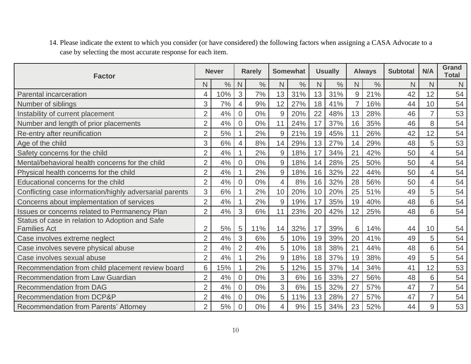14. Please indicate the extent to which you consider (or have considered) the following factors when assigning a CASA Advocate to a case by selecting the most accurate response for each item.

| <b>Factor</b>                                           |                | <b>Never</b>  |                | <b>Rarely</b> |                | <b>Somewhat</b> |    | <b>Usually</b> |    | <b>Always</b> | <b>Subtotal</b> | N/A | <b>Grand</b><br><b>Total</b> |
|---------------------------------------------------------|----------------|---------------|----------------|---------------|----------------|-----------------|----|----------------|----|---------------|-----------------|-----|------------------------------|
|                                                         | Ν              | $\frac{0}{0}$ | N              | $\frac{0}{0}$ | N              | $\frac{0}{0}$   | N  | $\%$           | N  | $\frac{0}{0}$ | N               | N   | N                            |
| Parental incarceration                                  | 4              | 10%           | 3              | 7%            | 13             | 31%             | 13 | 31%            | 9  | 21%           | 42              | 12  | 54                           |
| Number of siblings                                      | 3              | 7%            | 4              | 9%            | 12             | 27%             | 18 | 41%            | 7  | 16%           | 44              | 10  | 54                           |
| Instability of current placement                        | $\overline{2}$ | 4%            | $\overline{0}$ | $0\%$         | 9              | 20%             | 22 | 48%            | 13 | 28%           | 46              |     | 53                           |
| Number and length of prior placements                   | $\overline{2}$ | 4%            | $\overline{0}$ | $0\%$         | 11             | 24%             | 17 | 37%            | 16 | 35%           | 46              | 8   | 54                           |
| Re-entry after reunification                            | $\overline{2}$ | $5%$          |                | 2%            | 9              | 21%             | 19 | 45%            | 11 | 26%           | 42              | 12  | 54                           |
| Age of the child                                        | 3              | 6%            | $\overline{4}$ | 8%            | 14             | 29%             | 13 | 27%            | 14 | 29%           | 48              | 5   | 53                           |
| Safety concerns for the child                           | $\overline{2}$ | 4%            |                | 2%            | 9              | 18%             | 17 | 34%            | 21 | 42%           | 50              | 4   | 54                           |
| Mental/behavioral health concerns for the child         | $\overline{2}$ | 4%            | $\overline{0}$ | 0%            | 9              | 18%             | 14 | 28%            | 25 | 50%           | 50              | 4   | 54                           |
| Physical health concerns for the child                  | $\overline{2}$ | 4%            |                | 2%            | 9              | 18%             | 16 | 32%            | 22 | 44%           | 50              | 4   | 54                           |
| Educational concerns for the child                      | $\overline{2}$ | 4%            | $\overline{0}$ | $0\%$         | $\overline{4}$ | 8%              | 16 | 32%            | 28 | 56%           | 50              |     | 54                           |
| Conflicting case information/highly adversarial parents | 3              | 6%            |                | 2%            | 10             | 20%             | 10 | 20%            | 25 | 51%           | 49              | 5   | 54                           |
| Concerns about implementation of services               | $\overline{2}$ | 4%            |                | 2%            | 9              | 19%             | 17 | 35%            | 19 | 40%           | 48              | 6   | 54                           |
| <b>Issues or concerns related to Permanency Plan</b>    | $\overline{2}$ | 4%            | 3              | 6%            | 11             | 23%             | 20 | 42%            | 12 | 25%           | 48              | 6   | 54                           |
| Status of case in relation to Adoption and Safe         |                |               |                |               |                |                 |    |                |    |               |                 |     |                              |
| <b>Families Act</b>                                     | $\overline{2}$ | 5%            | 5              | 11%           | 14             | 32%             | 17 | 39%            | 6  | 14%           | 44              | 10  | 54                           |
| Case involves extreme neglect                           | $\overline{2}$ | 4%            | 3              | 6%            | 5              | 10%             | 19 | 39%            | 20 | 41%           | 49              | 5   | 54                           |
| Case involves severe physical abuse                     | $\overline{2}$ | 4%            | $\overline{2}$ | 4%            | 5              | 10%             | 18 | 38%            | 21 | 44%           | 48              | 6   | 54                           |
| Case involves sexual abuse                              | $\overline{2}$ | 4%            |                | 2%            | 9              | 18%             | 18 | 37%            | 19 | 38%           | 49              | 5   | 54                           |
| Recommendation from child placement review board        | 6              | 15%           |                | 2%            | 5              | 12%             | 15 | 37%            | 14 | 34%           | 41              | 12  | 53                           |
| <b>Recommendation from Law Guardian</b>                 | $\overline{2}$ | 4%            | $\overline{0}$ | 0%            | 3              | $6\%$           | 16 | 33%            | 27 | 56%           | 48              | 6   | 54                           |
| <b>Recommendation from DAG</b>                          | $\overline{2}$ | 4%            | $\overline{0}$ | 0%            | 3              | 6%              | 15 | 32%            | 27 | 57%           | 47              |     | 54                           |
| <b>Recommendation from DCP&amp;P</b>                    | $\overline{2}$ | 4%            | $\overline{0}$ | $0\%$         | 5              | 11%             | 13 | 28%            | 27 | 57%           | 47              |     | 54                           |
| <b>Recommendation from Parents' Attorney</b>            | $\overline{2}$ | 5%            | $\overline{0}$ | 0%            | 4              | 9%              | 15 | 34%            | 23 | 52%           | 44              | 9   | 53                           |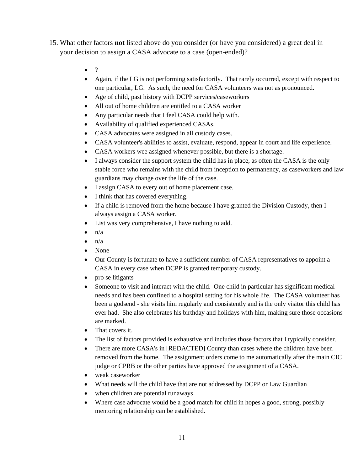- 15. What other factors **not** listed above do you consider (or have you considered) a great deal in your decision to assign a CASA advocate to a case (open-ended)?
	- $\bullet$  ?
	- Again, if the LG is not performing satisfactorily. That rarely occurred, except with respect to one particular, LG. As such, the need for CASA volunteers was not as pronounced.
	- Age of child, past history with DCPP services/caseworkers
	- All out of home children are entitled to a CASA worker
	- Any particular needs that I feel CASA could help with.
	- Availability of qualified experienced CASAs.
	- CASA advocates were assigned in all custody cases.
	- CASA volunteer's abilities to assist, evaluate, respond, appear in court and life experience.
	- CASA workers wee assigned whenever possible, but there is a shortage.
	- I always consider the support system the child has in place, as often the CASA is the only stable force who remains with the child from inception to permanency, as caseworkers and law guardians may change over the life of the case.
	- I assign CASA to every out of home placement case.
	- I think that has covered everything.
	- If a child is removed from the home because I have granted the Division Custody, then I always assign a CASA worker.
	- List was very comprehensive, I have nothing to add.
	- $\bullet$   $\mathsf{n}/\mathsf{a}$
	- $\bullet$   $\frac{n}{a}$
	- None
	- Our County is fortunate to have a sufficient number of CASA representatives to appoint a CASA in every case when DCPP is granted temporary custody.
	- pro se litigants
	- Someone to visit and interact with the child. One child in particular has significant medical needs and has been confined to a hospital setting for his whole life. The CASA volunteer has been a godsend - she visits him regularly and consistently and is the only visitor this child has ever had. She also celebrates his birthday and holidays with him, making sure those occasions are marked.
	- That covers it.
	- The list of factors provided is exhaustive and includes those factors that I typically consider.
	- There are more CASA's in [REDACTED] County than cases where the children have been removed from the home. The assignment orders come to me automatically after the main CIC judge or CPRB or the other parties have approved the assignment of a CASA.
	- weak caseworker
	- What needs will the child have that are not addressed by DCPP or Law Guardian
	- when children are potential runaways
	- Where case advocate would be a good match for child in hopes a good, strong, possibly mentoring relationship can be established.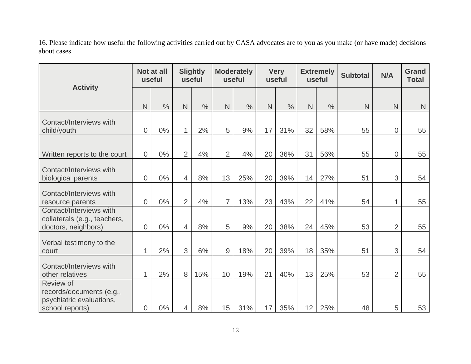16. Please indicate how useful the following activities carried out by CASA advocates are to you as you make (or have made) decisions about cases

|                                                                                      | Not at all<br>useful |               | <b>Slightly</b><br>useful |               | <b>Moderately</b><br>useful |               | <b>Very</b><br>useful |               | <b>Extremely</b><br>useful |               | <b>Subtotal</b> | N/A            | <b>Grand</b><br><b>Total</b> |
|--------------------------------------------------------------------------------------|----------------------|---------------|---------------------------|---------------|-----------------------------|---------------|-----------------------|---------------|----------------------------|---------------|-----------------|----------------|------------------------------|
| <b>Activity</b>                                                                      | $\mathsf{N}$         | $\frac{0}{0}$ | $\mathsf{N}$              | $\frac{0}{0}$ | $\mathsf{N}$                | $\frac{0}{0}$ | $\overline{N}$        | $\frac{0}{0}$ | N                          | $\frac{0}{0}$ | $\mathsf{N}$    | N              | N                            |
| Contact/Interviews with<br>child/youth                                               | $\boldsymbol{0}$     | $0\%$         | 1                         | 2%            | 5                           | 9%            | 17                    | 31%           | 32                         | 58%           | 55              | $\overline{0}$ | 55                           |
| Written reports to the court                                                         | $\overline{0}$       | $0\%$         | $\overline{2}$            | 4%            | $\overline{2}$              | 4%            | 20                    | 36%           | 31                         | 56%           | 55              | $\overline{0}$ | 55                           |
| Contact/Interviews with<br>biological parents                                        | $\overline{0}$       | 0%            | $\overline{4}$            | 8%            | 13                          | 25%           | 20                    | 39%           | 14                         | 27%           | 51              | 3              | 54                           |
| Contact/Interviews with<br>resource parents                                          | $\overline{0}$       | $0\%$         | $\overline{2}$            | 4%            | $\overline{7}$              | 13%           | 23                    | 43%           | 22                         | 41%           | 54              | 1              | 55                           |
| Contact/Interviews with<br>collaterals (e.g., teachers,<br>doctors, neighbors)       | $\overline{0}$       | $0\%$         | $\overline{4}$            | 8%            | 5                           | 9%            | 20                    | 38%           | 24                         | 45%           | 53              | $\overline{2}$ | 55                           |
| Verbal testimony to the<br>court                                                     | $\mathbf{1}$         | 2%            | 3                         | 6%            | 9                           | 18%           | 20                    | 39%           | 18                         | 35%           | 51              | 3              | 54                           |
| Contact/Interviews with<br>other relatives                                           | $\mathbf{1}$         | 2%            | 8                         | 15%           | 10                          | 19%           | 21                    | 40%           | 13                         | 25%           | 53              | $\overline{2}$ | 55                           |
| Review of<br>records/documents (e.g.,<br>psychiatric evaluations,<br>school reports) | 0                    | 0%            | 4                         | 8%            | 15                          | 31%           | 17                    | 35%           | 12                         | 25%           | 48              | 5              | 53                           |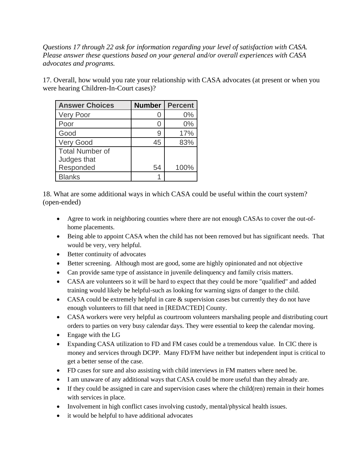*Questions 17 through 22 ask for information regarding your level of satisfaction with CASA. Please answer these questions based on your general and/or overall experiences with CASA advocates and programs.*

17. Overall, how would you rate your relationship with CASA advocates (at present or when you were hearing Children-In-Court cases)?

| <b>Answer Choices</b>  | <b>Number</b> | <b>Percent</b> |
|------------------------|---------------|----------------|
| <b>Very Poor</b>       |               | $0\%$          |
| Poor                   |               | 0%             |
| Good                   |               | 17%            |
| <b>Very Good</b>       | 45            | 83%            |
| <b>Total Number of</b> |               |                |
| Judges that            |               |                |
| Responded              | 54            | 100%           |
| <b>Blanks</b>          |               |                |

18. What are some additional ways in which CASA could be useful within the court system? (open-ended)

- Agree to work in neighboring counties where there are not enough CASAs to cover the out-ofhome placements.
- Being able to appoint CASA when the child has not been removed but has significant needs. That would be very, very helpful.
- Better continuity of advocates
- Better screening. Although most are good, some are highly opinionated and not objective
- Can provide same type of assistance in juvenile delinquency and family crisis matters.
- CASA are volunteers so it will be hard to expect that they could be more "qualified" and added training would likely be helpful-such as looking for warning signs of danger to the child.
- CASA could be extremely helpful in care & supervision cases but currently they do not have enough volunteers to fill that need in [REDACTED] County.
- CASA workers were very helpful as courtroom volunteers marshaling people and distributing court orders to parties on very busy calendar days. They were essential to keep the calendar moving.
- Engage with the LG
- Expanding CASA utilization to FD and FM cases could be a tremendous value. In CIC there is money and services through DCPP. Many FD/FM have neither but independent input is critical to get a better sense of the case.
- FD cases for sure and also assisting with child interviews in FM matters where need be.
- I am unaware of any additional ways that CASA could be more useful than they already are.
- If they could be assigned in care and supervision cases where the child(ren) remain in their homes with services in place.
- Involvement in high conflict cases involving custody, mental/physical health issues.
- it would be helpful to have additional advocates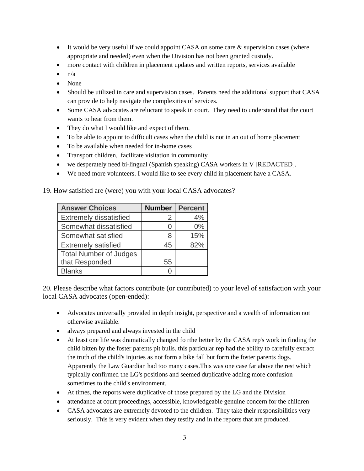- It would be very useful if we could appoint CASA on some care  $\&$  supervision cases (where appropriate and needed) even when the Division has not been granted custody.
- more contact with children in placement updates and written reports, services available
- $n/a$
- None
- Should be utilized in care and supervision cases. Parents need the additional support that CASA can provide to help navigate the complexities of services.
- Some CASA advocates are reluctant to speak in court. They need to understand that the court wants to hear from them.
- They do what I would like and expect of them.
- To be able to appoint to difficult cases when the child is not in an out of home placement
- To be available when needed for in-home cases
- Transport children, facilitate visitation in community
- we desperately need bi-lingual (Spanish speaking) CASA workers in V [REDACTED].
- We need more volunteers. I would like to see every child in placement have a CASA.

| <b>Answer Choices</b>         | <b>Number</b> | <b>Percent</b> |
|-------------------------------|---------------|----------------|
| <b>Extremely dissatisfied</b> | 2             | 4%             |
| Somewhat dissatisfied         |               | $0\%$          |
| Somewhat satisfied            |               | 15%            |
| <b>Extremely satisfied</b>    | 45            | 82%            |
| <b>Total Number of Judges</b> |               |                |
| that Responded                | 55            |                |
| <b>Blanks</b>                 |               |                |

19. How satisfied are (were) you with your local CASA advocates?

20. Please describe what factors contribute (or contributed) to your level of satisfaction with your local CASA advocates (open-ended):

- Advocates universally provided in depth insight, perspective and a wealth of information not otherwise available.
- always prepared and always invested in the child
- At least one life was dramatically changed fo rthe better by the CASA rep's work in finding the child bitten by the foster parents pit bulls. this particular rep had the ability to carefully extract the truth of the child's injuries as not form a bike fall but form the foster parents dogs. Apparently the Law Guardian had too many cases.This was one case far above the rest which typically confirmed the LG's positions and seemed duplicative adding more confusion sometimes to the child's environment.
- At times, the reports were duplicative of those prepared by the LG and the Division
- attendance at court proceedings, accessible, knowledgeable genuine concern for the children
- CASA advocates are extremely devoted to the children. They take their responsibilities very seriously. This is very evident when they testify and in the reports that are produced.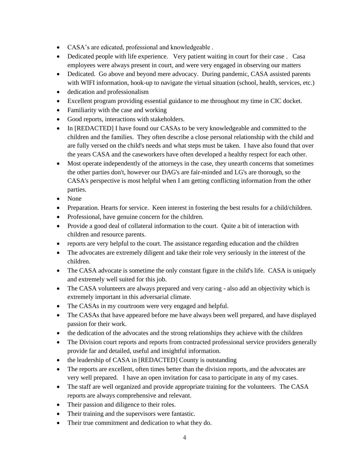- CASA's are edicated, professional and knowledgeable .
- Dedicated people with life experience. Very patient waiting in court for their case. Casa employees were always present in court, and were very engaged in observing our matters
- Dedicated. Go above and beyond mere advocacy. During pandemic, CASA assisted parents with WIFI information, hook-up to navigate the virtual situation (school, health, services, etc.)
- dedication and professionalism
- Excellent program providing essential guidance to me throughout my time in CIC docket.
- Familiarity with the case and working
- Good reports, interactions with stakeholders.
- In [REDACTED] I have found our CASAs to be very knowledgeable and committed to the children and the families. They often describe a close personal relationship with the child and are fully versed on the child's needs and what steps must be taken. I have also found that over the years CASA and the caseworkers have often developed a healthy respect for each other.
- Most operate independently of the attorneys in the case, they unearth concerns that sometimes the other parties don't, however our DAG's are fair-minded and LG's are thorough, so the CASA's perspective is most helpful when I am getting conflicting information from the other parties.
- None
- Preparation. Hearts for service. Keen interest in fostering the best results for a child/children.
- Professional, have genuine concern for the children.
- Provide a good deal of collateral information to the court. Quite a bit of interaction with children and resource parents.
- reports are very helpful to the court. The assistance regarding education and the children
- The advocates are extremely diligent and take their role very seriously in the interest of the children.
- The CASA advocate is sometime the only constant figure in the child's life. CASA is uniquely and extremely well suited for this job.
- The CASA volunteers are always prepared and very caring also add an objectivity which is extremely important in this adversarial climate.
- The CASAs in my courtroom were very engaged and helpful.
- The CASAs that have appeared before me have always been well prepared, and have displayed passion for their work.
- the dedication of the advocates and the strong relationships they achieve with the children
- The Division court reports and reports from contracted professional service providers generally provide far and detailed, useful and insightful information.
- the leadership of CASA in [REDACTED] County is outstanding
- The reports are excellent, often times better than the division reports, and the advocates are very well prepared. I have an open invitation for casa to participate in any of my cases.
- The staff are well organized and provide appropriate training for the volunteers. The CASA reports are always comprehensive and relevant.
- Their passion and diligence to their roles.
- Their training and the supervisors were fantastic.
- Their true commitment and dedication to what they do.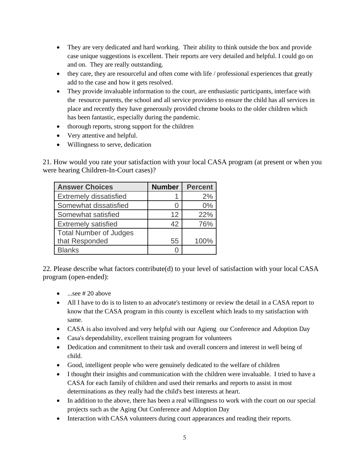- They are very dedicated and hard working. Their ability to think outside the box and provide case unique suggestions is excellent. Their reports are very detailed and helpful. I could go on and on. They are really outstanding.
- they care, they are resourceful and often come with life / professional experiences that greatly add to the case and how it gets resolved.
- They provide invaluable information to the court, are enthusiastic participants, interface with the resource parents, the school and all service providers to ensure the child has all services in place and recently they have generously provided chrome books to the older children which has been fantastic, especially during the pandemic.
- thorough reports, strong support for the children
- Very attentive and helpful.
- Willingness to serve, dedication

21. How would you rate your satisfaction with your local CASA program (at present or when you were hearing Children-In-Court cases)?

| <b>Answer Choices</b>         | <b>Number</b> | <b>Percent</b> |
|-------------------------------|---------------|----------------|
| <b>Extremely dissatisfied</b> |               | 2%             |
| Somewhat dissatisfied         |               | 0%             |
| Somewhat satisfied            | 12            | 22%            |
| <b>Extremely satisfied</b>    | 42            | 76%            |
| <b>Total Number of Judges</b> |               |                |
| that Responded                | 55            | 100%           |
| <b>Blanks</b>                 |               |                |

22. Please describe what factors contribute(d) to your level of satisfaction with your local CASA program (open-ended):

- $...$ see # 20 above
- All I have to do is to listen to an advocate's testimony or review the detail in a CASA report to know that the CASA program in this county is excellent which leads to my satisfaction with same.
- CASA is also involved and very helpful with our Agieng our Conference and Adoption Day
- Casa's dependability, excellent training program for volunteers
- Dedication and commitment to their task and overall concern and interest in well being of child.
- Good, intelligent people who were genuinely dedicated to the welfare of children
- I thought their insights and communication with the children were invaluable. I tried to have a CASA for each family of children and used their remarks and reports to assist in most determinations as they really had the child's best interests at heart.
- In addition to the above, there has been a real willingness to work with the court on our special projects such as the Aging Out Conference and Adoption Day
- Interaction with CASA volunteers during court appearances and reading their reports.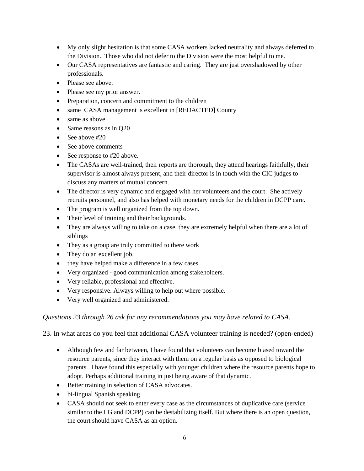- My only slight hesitation is that some CASA workers lacked neutrality and always deferred to the Division. Those who did not defer to the Division were the most helpful to me.
- Our CASA representatives are fantastic and caring. They are just overshadowed by other professionals.
- Please see above.
- Please see my prior answer.
- Preparation, concern and commitment to the children
- same CASA management is excellent in [REDACTED] County
- same as above
- Same reasons as in Q20
- See above #20
- See above comments
- See response to #20 above.
- The CASAs are well-trained, their reports are thorough, they attend hearings faithfully, their supervisor is almost always present, and their director is in touch with the CIC judges to discuss any matters of mutual concern.
- The director is very dynamic and engaged with her volunteers and the court. She actively recruits personnel, and also has helped with monetary needs for the children in DCPP care.
- The program is well organized from the top down.
- Their level of training and their backgrounds.
- They are always willing to take on a case, they are extremely helpful when there are a lot of siblings
- They as a group are truly committed to there work
- They do an excellent job.
- they have helped make a difference in a few cases
- Very organized good communication among stakeholders.
- Very reliable, professional and effective.
- Very responsive. Always willing to help out where possible.
- Very well organized and administered.

## *Questions 23 through 26 ask for any recommendations you may have related to CASA.*

23. In what areas do you feel that additional CASA volunteer training is needed? (open-ended)

- Although few and far between, I have found that volunteers can become biased toward the resource parents, since they interact with them on a regular basis as opposed to biological parents. I have found this especially with younger children where the resource parents hope to adopt. Perhaps additional training in just being aware of that dynamic.
- Better training in selection of CASA advocates.
- bi-lingual Spanish speaking
- CASA should not seek to enter every case as the circumstances of duplicative care (service similar to the LG and DCPP) can be destabilizing itself. But where there is an open question, the court should have CASA as an option.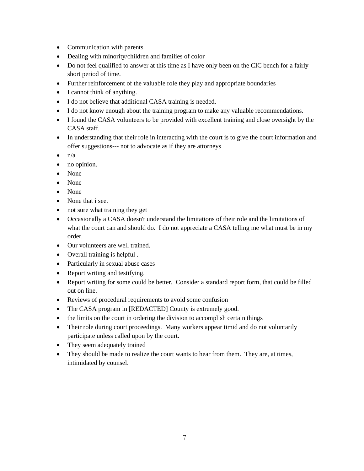- Communication with parents.
- Dealing with minority/children and families of color
- Do not feel qualified to answer at this time as I have only been on the CIC bench for a fairly short period of time.
- Further reinforcement of the valuable role they play and appropriate boundaries
- I cannot think of anything.
- I do not believe that additional CASA training is needed.
- I do not know enough about the training program to make any valuable recommendations.
- I found the CASA volunteers to be provided with excellent training and close oversight by the CASA staff.
- In understanding that their role in interacting with the court is to give the court information and offer suggestions--- not to advocate as if they are attorneys
- $\bullet$   $\mathbf{n}/\mathbf{a}$
- no opinion.
- None
- None
- None
- None that i see.
- not sure what training they get
- Occasionally a CASA doesn't understand the limitations of their role and the limitations of what the court can and should do. I do not appreciate a CASA telling me what must be in my order.
- Our volunteers are well trained.
- Overall training is helpful .
- Particularly in sexual abuse cases
- Report writing and testifying.
- Report writing for some could be better. Consider a standard report form, that could be filled out on line.
- Reviews of procedural requirements to avoid some confusion
- The CASA program in [REDACTED] County is extremely good.
- the limits on the court in ordering the division to accomplish certain things
- Their role during court proceedings. Many workers appear timid and do not voluntarily participate unless called upon by the court.
- They seem adequately trained
- They should be made to realize the court wants to hear from them. They are, at times, intimidated by counsel.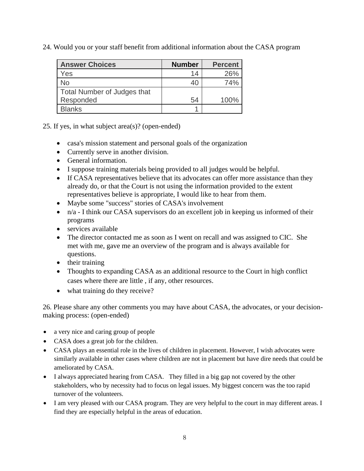24. Would you or your staff benefit from additional information about the CASA program

| <b>Answer Choices</b>              | <b>Number</b> | <b>Percent</b> |
|------------------------------------|---------------|----------------|
| Yes                                | 14            | 26%            |
| No                                 | 40            | 74%            |
| <b>Total Number of Judges that</b> |               |                |
| Responded                          | 54            | 100%           |
| <b>Blanks</b>                      |               |                |

25. If yes, in what subject area(s)? (open-ended)

- casa's mission statement and personal goals of the organization
- Currently serve in another division.
- General information.
- I suppose training materials being provided to all judges would be helpful.
- If CASA representatives believe that its advocates can offer more assistance than they already do, or that the Court is not using the information provided to the extent representatives believe is appropriate, I would like to hear from them.
- Maybe some "success" stories of CASA's involvement
- n/a I think our CASA supervisors do an excellent job in keeping us informed of their programs
- services available
- The director contacted me as soon as I went on recall and was assigned to CIC. She met with me, gave me an overview of the program and is always available for questions.
- their training
- Thoughts to expanding CASA as an additional resource to the Court in high conflict cases where there are little , if any, other resources.
- what training do they receive?

26. Please share any other comments you may have about CASA, the advocates, or your decisionmaking process: (open-ended)

- a very nice and caring group of people
- CASA does a great job for the children.
- CASA plays an essential role in the lives of children in placement. However, I wish advocates were similarly available in other cases where children are not in placement but have dire needs that could be ameliorated by CASA.
- I always appreciated hearing from CASA. They filled in a big gap not covered by the other stakeholders, who by necessity had to focus on legal issues. My biggest concern was the too rapid turnover of the volunteers.
- I am very pleased with our CASA program. They are very helpful to the court in may different areas. I find they are especially helpful in the areas of education.